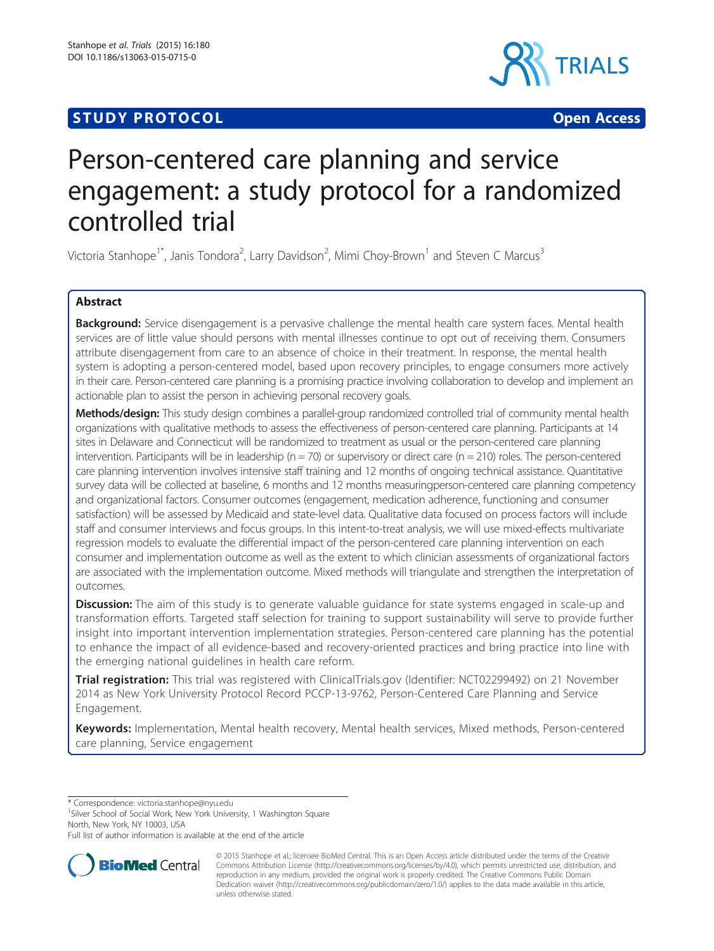# **STUDY PROTOCOL CONSUMING THE CONSUMING OPEN ACCESS**



# Person-centered care planning and service engagement: a study protocol for a randomized controlled trial

Victoria Stanhope<sup>1\*</sup>, Janis Tondora<sup>2</sup>, Larry Davidson<sup>2</sup>, Mimi Choy-Brown<sup>1</sup> and Steven C Marcus<sup>3</sup>

# Abstract

Background: Service disengagement is a pervasive challenge the mental health care system faces. Mental health services are of little value should persons with mental illnesses continue to opt out of receiving them. Consumers attribute disengagement from care to an absence of choice in their treatment. In response, the mental health system is adopting a person-centered model, based upon recovery principles, to engage consumers more actively in their care. Person-centered care planning is a promising practice involving collaboration to develop and implement an actionable plan to assist the person in achieving personal recovery goals.

Methods/design: This study design combines a parallel-group randomized controlled trial of community mental health organizations with qualitative methods to assess the effectiveness of person-centered care planning. Participants at 14 sites in Delaware and Connecticut will be randomized to treatment as usual or the person-centered care planning intervention. Participants will be in leadership ( $n = 70$ ) or supervisory or direct care ( $n = 210$ ) roles. The person-centered care planning intervention involves intensive staff training and 12 months of ongoing technical assistance. Quantitative survey data will be collected at baseline, 6 months and 12 months measuringperson-centered care planning competency and organizational factors. Consumer outcomes (engagement, medication adherence, functioning and consumer satisfaction) will be assessed by Medicaid and state-level data. Qualitative data focused on process factors will include staff and consumer interviews and focus groups. In this intent-to-treat analysis, we will use mixed-effects multivariate regression models to evaluate the differential impact of the person-centered care planning intervention on each consumer and implementation outcome as well as the extent to which clinician assessments of organizational factors are associated with the implementation outcome. Mixed methods will triangulate and strengthen the interpretation of outcomes.

**Discussion:** The aim of this study is to generate valuable guidance for state systems engaged in scale-up and transformation efforts. Targeted staff selection for training to support sustainability will serve to provide further insight into important intervention implementation strategies. Person-centered care planning has the potential to enhance the impact of all evidence-based and recovery-oriented practices and bring practice into line with the emerging national guidelines in health care reform.

Trial registration: This trial was registered with ClinicalTrials.gov (Identifier: [NCT02299492\)](https://trialbulletin.com/lib/entry/ct-02299492) on 21 November 2014 as New York University Protocol Record PCCP-13-9762, Person-Centered Care Planning and Service Engagement.

Keywords: Implementation, Mental health recovery, Mental health services, Mixed methods, Person-centered care planning, Service engagement

\* Correspondence: [victoria.stanhope@nyu.edu](mailto:victoria.stanhope@nyu.edu) <sup>1</sup>

<sup>1</sup>Silver School of Social Work, New York University, 1 Washington Square North, New York, NY 10003, USA

Full list of author information is available at the end of the article



<sup>© 2015</sup> Stanhope et al.; licensee BioMed Central. This is an Open Access article distributed under the terms of the Creative Commons Attribution License [\(http://creativecommons.org/licenses/by/4.0\)](http://creativecommons.org/licenses/by/4.0), which permits unrestricted use, distribution, and reproduction in any medium, provided the original work is properly credited. The Creative Commons Public Domain Dedication waiver [\(http://creativecommons.org/publicdomain/zero/1.0/](http://creativecommons.org/publicdomain/zero/1.0/)) applies to the data made available in this article, unless otherwise stated.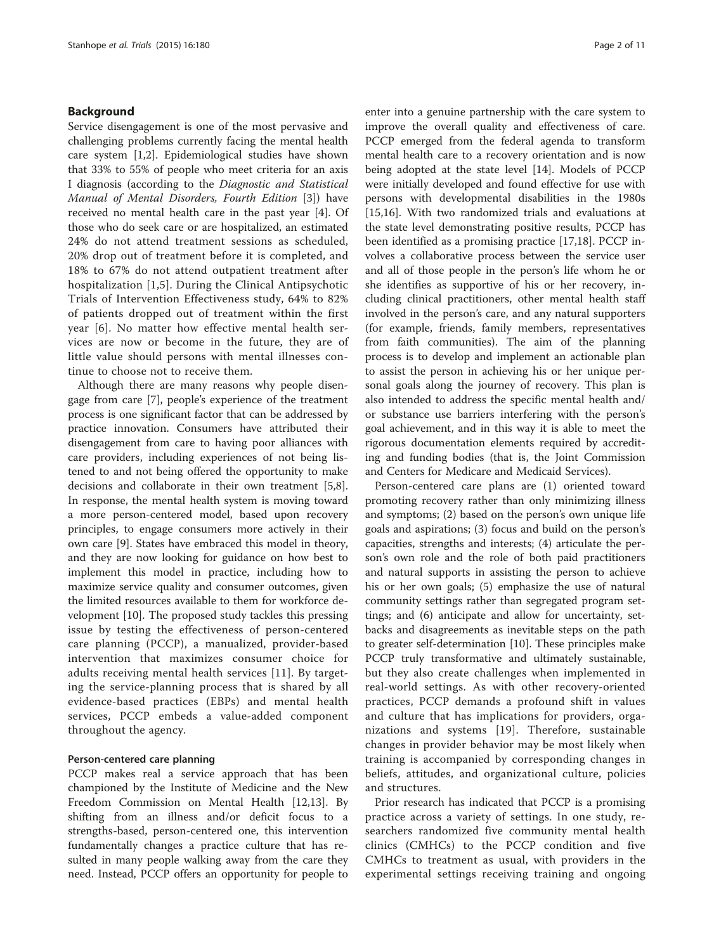# Background

Service disengagement is one of the most pervasive and challenging problems currently facing the mental health care system [[1,2\]](#page-9-0). Epidemiological studies have shown that 33% to 55% of people who meet criteria for an axis I diagnosis (according to the Diagnostic and Statistical Manual of Mental Disorders, Fourth Edition [[3\]](#page-9-0)) have received no mental health care in the past year [[4\]](#page-9-0). Of those who do seek care or are hospitalized, an estimated 24% do not attend treatment sessions as scheduled, 20% drop out of treatment before it is completed, and 18% to 67% do not attend outpatient treatment after hospitalization [[1,5](#page-9-0)]. During the Clinical Antipsychotic Trials of Intervention Effectiveness study, 64% to 82% of patients dropped out of treatment within the first year [\[6](#page-9-0)]. No matter how effective mental health services are now or become in the future, they are of little value should persons with mental illnesses continue to choose not to receive them.

Although there are many reasons why people disengage from care [[7\]](#page-9-0), people's experience of the treatment process is one significant factor that can be addressed by practice innovation. Consumers have attributed their disengagement from care to having poor alliances with care providers, including experiences of not being listened to and not being offered the opportunity to make decisions and collaborate in their own treatment [\[5,8](#page-9-0)]. In response, the mental health system is moving toward a more person-centered model, based upon recovery principles, to engage consumers more actively in their own care [\[9](#page-9-0)]. States have embraced this model in theory, and they are now looking for guidance on how best to implement this model in practice, including how to maximize service quality and consumer outcomes, given the limited resources available to them for workforce development [[10\]](#page-9-0). The proposed study tackles this pressing issue by testing the effectiveness of person-centered care planning (PCCP), a manualized, provider-based intervention that maximizes consumer choice for adults receiving mental health services [\[11\]](#page-9-0). By targeting the service-planning process that is shared by all evidence-based practices (EBPs) and mental health services, PCCP embeds a value-added component throughout the agency.

# Person-centered care planning

PCCP makes real a service approach that has been championed by the Institute of Medicine and the New Freedom Commission on Mental Health [[12,](#page-9-0)[13](#page-10-0)]. By shifting from an illness and/or deficit focus to a strengths-based, person-centered one, this intervention fundamentally changes a practice culture that has resulted in many people walking away from the care they need. Instead, PCCP offers an opportunity for people to

enter into a genuine partnership with the care system to improve the overall quality and effectiveness of care. PCCP emerged from the federal agenda to transform mental health care to a recovery orientation and is now being adopted at the state level [\[14](#page-10-0)]. Models of PCCP were initially developed and found effective for use with persons with developmental disabilities in the 1980s [[15,16\]](#page-10-0). With two randomized trials and evaluations at the state level demonstrating positive results, PCCP has been identified as a promising practice [[17,18](#page-10-0)]. PCCP involves a collaborative process between the service user and all of those people in the person's life whom he or she identifies as supportive of his or her recovery, including clinical practitioners, other mental health staff involved in the person's care, and any natural supporters (for example, friends, family members, representatives from faith communities). The aim of the planning process is to develop and implement an actionable plan to assist the person in achieving his or her unique personal goals along the journey of recovery. This plan is also intended to address the specific mental health and/ or substance use barriers interfering with the person's goal achievement, and in this way it is able to meet the rigorous documentation elements required by accrediting and funding bodies (that is, the Joint Commission and Centers for Medicare and Medicaid Services).

Person-centered care plans are (1) oriented toward promoting recovery rather than only minimizing illness and symptoms; (2) based on the person's own unique life goals and aspirations; (3) focus and build on the person's capacities, strengths and interests; (4) articulate the person's own role and the role of both paid practitioners and natural supports in assisting the person to achieve his or her own goals; (5) emphasize the use of natural community settings rather than segregated program settings; and (6) anticipate and allow for uncertainty, setbacks and disagreements as inevitable steps on the path to greater self-determination [\[10](#page-9-0)]. These principles make PCCP truly transformative and ultimately sustainable, but they also create challenges when implemented in real-world settings. As with other recovery-oriented practices, PCCP demands a profound shift in values and culture that has implications for providers, organizations and systems [[19](#page-10-0)]. Therefore, sustainable changes in provider behavior may be most likely when training is accompanied by corresponding changes in beliefs, attitudes, and organizational culture, policies and structures.

Prior research has indicated that PCCP is a promising practice across a variety of settings. In one study, researchers randomized five community mental health clinics (CMHCs) to the PCCP condition and five CMHCs to treatment as usual, with providers in the experimental settings receiving training and ongoing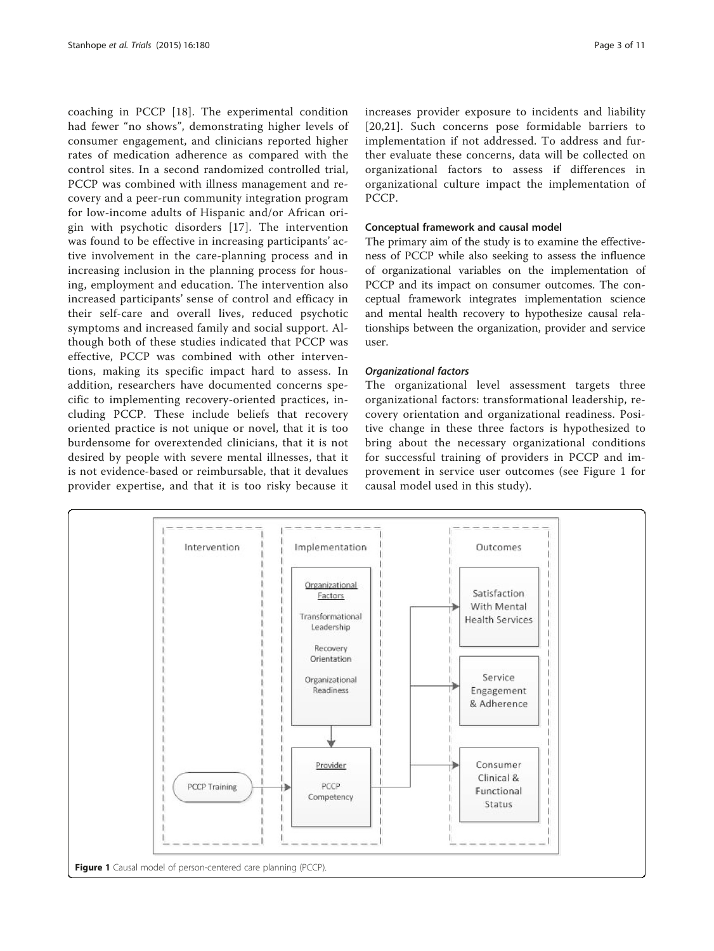coaching in PCCP [[18\]](#page-10-0). The experimental condition had fewer "no shows", demonstrating higher levels of consumer engagement, and clinicians reported higher rates of medication adherence as compared with the control sites. In a second randomized controlled trial, PCCP was combined with illness management and recovery and a peer-run community integration program for low-income adults of Hispanic and/or African origin with psychotic disorders [\[17](#page-10-0)]. The intervention was found to be effective in increasing participants' active involvement in the care-planning process and in increasing inclusion in the planning process for housing, employment and education. The intervention also increased participants' sense of control and efficacy in their self-care and overall lives, reduced psychotic symptoms and increased family and social support. Although both of these studies indicated that PCCP was effective, PCCP was combined with other interventions, making its specific impact hard to assess. In addition, researchers have documented concerns specific to implementing recovery-oriented practices, including PCCP. These include beliefs that recovery oriented practice is not unique or novel, that it is too burdensome for overextended clinicians, that it is not desired by people with severe mental illnesses, that it is not evidence-based or reimbursable, that it devalues provider expertise, and that it is too risky because it

increases provider exposure to incidents and liability [[20](#page-10-0),[21\]](#page-10-0). Such concerns pose formidable barriers to implementation if not addressed. To address and further evaluate these concerns, data will be collected on organizational factors to assess if differences in organizational culture impact the implementation of PCCP.

#### Conceptual framework and causal model

The primary aim of the study is to examine the effectiveness of PCCP while also seeking to assess the influence of organizational variables on the implementation of PCCP and its impact on consumer outcomes. The conceptual framework integrates implementation science and mental health recovery to hypothesize causal relationships between the organization, provider and service user.

# Organizational factors

The organizational level assessment targets three organizational factors: transformational leadership, recovery orientation and organizational readiness. Positive change in these three factors is hypothesized to bring about the necessary organizational conditions for successful training of providers in PCCP and improvement in service user outcomes (see Figure 1 for causal model used in this study).

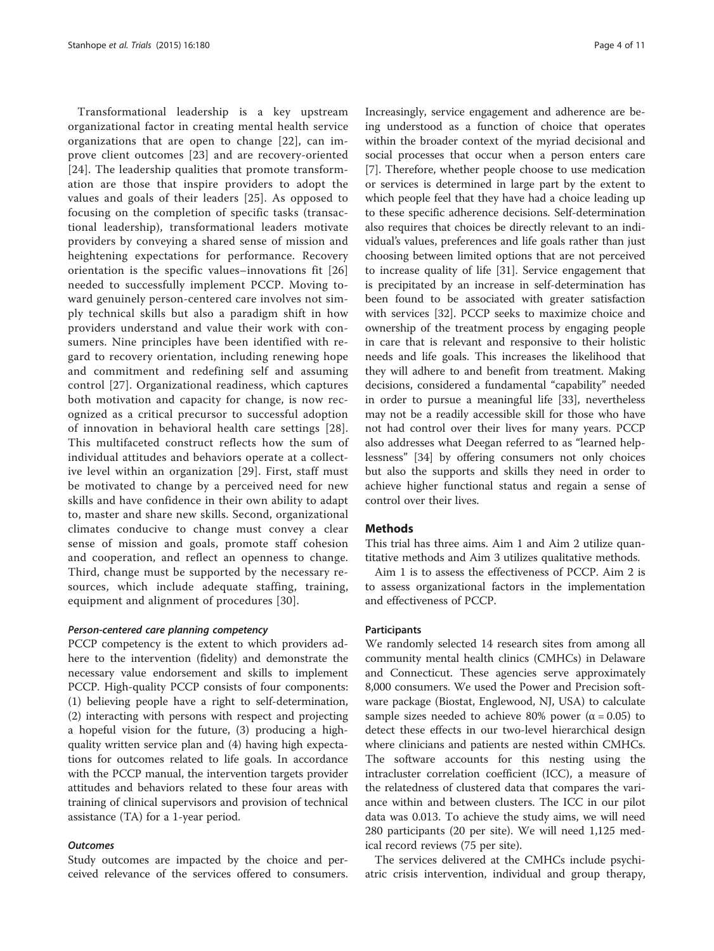Transformational leadership is a key upstream organizational factor in creating mental health service organizations that are open to change [[22\]](#page-10-0), can improve client outcomes [[23](#page-10-0)] and are recovery-oriented [[24](#page-10-0)]. The leadership qualities that promote transformation are those that inspire providers to adopt the values and goals of their leaders [[25](#page-10-0)]. As opposed to focusing on the completion of specific tasks (transactional leadership), transformational leaders motivate providers by conveying a shared sense of mission and heightening expectations for performance. Recovery orientation is the specific values–innovations fit [[26](#page-10-0)] needed to successfully implement PCCP. Moving toward genuinely person-centered care involves not simply technical skills but also a paradigm shift in how providers understand and value their work with consumers. Nine principles have been identified with regard to recovery orientation, including renewing hope and commitment and redefining self and assuming control [\[27\]](#page-10-0). Organizational readiness, which captures both motivation and capacity for change, is now recognized as a critical precursor to successful adoption of innovation in behavioral health care settings [[28](#page-10-0)]. This multifaceted construct reflects how the sum of individual attitudes and behaviors operate at a collective level within an organization [[29](#page-10-0)]. First, staff must be motivated to change by a perceived need for new skills and have confidence in their own ability to adapt to, master and share new skills. Second, organizational climates conducive to change must convey a clear sense of mission and goals, promote staff cohesion and cooperation, and reflect an openness to change. Third, change must be supported by the necessary resources, which include adequate staffing, training, equipment and alignment of procedures [[30](#page-10-0)].

#### Person-centered care planning competency

PCCP competency is the extent to which providers adhere to the intervention (fidelity) and demonstrate the necessary value endorsement and skills to implement PCCP. High-quality PCCP consists of four components: (1) believing people have a right to self-determination, (2) interacting with persons with respect and projecting a hopeful vision for the future, (3) producing a highquality written service plan and (4) having high expectations for outcomes related to life goals. In accordance with the PCCP manual, the intervention targets provider attitudes and behaviors related to these four areas with training of clinical supervisors and provision of technical assistance (TA) for a 1-year period.

### **Outcomes**

Study outcomes are impacted by the choice and perceived relevance of the services offered to consumers.

Increasingly, service engagement and adherence are being understood as a function of choice that operates within the broader context of the myriad decisional and social processes that occur when a person enters care [[7\]](#page-9-0). Therefore, whether people choose to use medication or services is determined in large part by the extent to which people feel that they have had a choice leading up to these specific adherence decisions. Self-determination also requires that choices be directly relevant to an individual's values, preferences and life goals rather than just choosing between limited options that are not perceived to increase quality of life [\[31\]](#page-10-0). Service engagement that is precipitated by an increase in self-determination has been found to be associated with greater satisfaction with services [\[32](#page-10-0)]. PCCP seeks to maximize choice and ownership of the treatment process by engaging people in care that is relevant and responsive to their holistic needs and life goals. This increases the likelihood that they will adhere to and benefit from treatment. Making decisions, considered a fundamental "capability" needed in order to pursue a meaningful life [[33\]](#page-10-0), nevertheless may not be a readily accessible skill for those who have not had control over their lives for many years. PCCP also addresses what Deegan referred to as "learned helplessness" [\[34](#page-10-0)] by offering consumers not only choices but also the supports and skills they need in order to achieve higher functional status and regain a sense of control over their lives.

#### Methods

This trial has three aims. Aim 1 and Aim 2 utilize quantitative methods and Aim 3 utilizes qualitative methods.

Aim 1 is to assess the effectiveness of PCCP. Aim 2 is to assess organizational factors in the implementation and effectiveness of PCCP.

#### Participants

We randomly selected 14 research sites from among all community mental health clinics (CMHCs) in Delaware and Connecticut. These agencies serve approximately 8,000 consumers. We used the Power and Precision software package (Biostat, Englewood, NJ, USA) to calculate sample sizes needed to achieve 80% power ( $\alpha$  = 0.05) to detect these effects in our two-level hierarchical design where clinicians and patients are nested within CMHCs. The software accounts for this nesting using the intracluster correlation coefficient (ICC), a measure of the relatedness of clustered data that compares the variance within and between clusters. The ICC in our pilot data was 0.013. To achieve the study aims, we will need 280 participants (20 per site). We will need 1,125 medical record reviews (75 per site).

The services delivered at the CMHCs include psychiatric crisis intervention, individual and group therapy,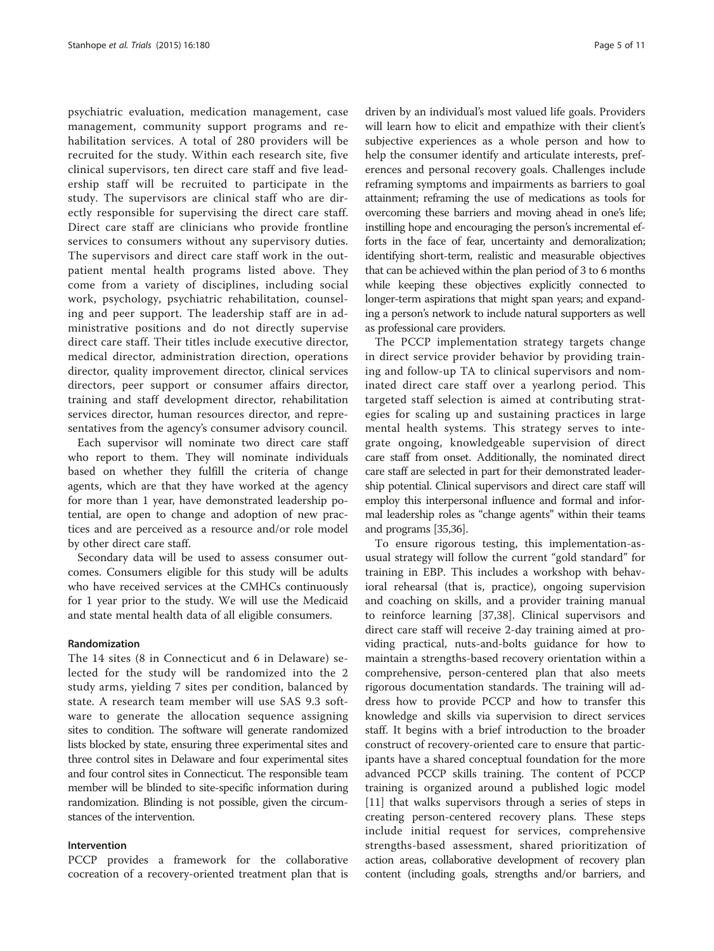psychiatric evaluation, medication management, case management, community support programs and rehabilitation services. A total of 280 providers will be recruited for the study. Within each research site, five clinical supervisors, ten direct care staff and five leadership staff will be recruited to participate in the study. The supervisors are clinical staff who are directly responsible for supervising the direct care staff. Direct care staff are clinicians who provide frontline services to consumers without any supervisory duties. The supervisors and direct care staff work in the outpatient mental health programs listed above. They come from a variety of disciplines, including social work, psychology, psychiatric rehabilitation, counseling and peer support. The leadership staff are in administrative positions and do not directly supervise direct care staff. Their titles include executive director, medical director, administration direction, operations director, quality improvement director, clinical services directors, peer support or consumer affairs director, training and staff development director, rehabilitation services director, human resources director, and representatives from the agency's consumer advisory council.

Each supervisor will nominate two direct care staff who report to them. They will nominate individuals based on whether they fulfill the criteria of change agents, which are that they have worked at the agency for more than 1 year, have demonstrated leadership potential, are open to change and adoption of new practices and are perceived as a resource and/or role model by other direct care staff.

Secondary data will be used to assess consumer outcomes. Consumers eligible for this study will be adults who have received services at the CMHCs continuously for 1 year prior to the study. We will use the Medicaid and state mental health data of all eligible consumers.

#### Randomization

The 14 sites (8 in Connecticut and 6 in Delaware) selected for the study will be randomized into the 2 study arms, yielding 7 sites per condition, balanced by state. A research team member will use SAS 9.3 software to generate the allocation sequence assigning sites to condition. The software will generate randomized lists blocked by state, ensuring three experimental sites and three control sites in Delaware and four experimental sites and four control sites in Connecticut. The responsible team member will be blinded to site-specific information during randomization. Blinding is not possible, given the circumstances of the intervention.

# Intervention

PCCP provides a framework for the collaborative cocreation of a recovery-oriented treatment plan that is

driven by an individual's most valued life goals. Providers will learn how to elicit and empathize with their client's subjective experiences as a whole person and how to help the consumer identify and articulate interests, preferences and personal recovery goals. Challenges include reframing symptoms and impairments as barriers to goal attainment; reframing the use of medications as tools for overcoming these barriers and moving ahead in one's life; instilling hope and encouraging the person's incremental efforts in the face of fear, uncertainty and demoralization; identifying short-term, realistic and measurable objectives that can be achieved within the plan period of 3 to 6 months while keeping these objectives explicitly connected to longer-term aspirations that might span years; and expanding a person's network to include natural supporters as well as professional care providers.

The PCCP implementation strategy targets change in direct service provider behavior by providing training and follow-up TA to clinical supervisors and nominated direct care staff over a yearlong period. This targeted staff selection is aimed at contributing strategies for scaling up and sustaining practices in large mental health systems. This strategy serves to integrate ongoing, knowledgeable supervision of direct care staff from onset. Additionally, the nominated direct care staff are selected in part for their demonstrated leadership potential. Clinical supervisors and direct care staff will employ this interpersonal influence and formal and informal leadership roles as "change agents" within their teams and programs [[35,36\]](#page-10-0).

To ensure rigorous testing, this implementation-asusual strategy will follow the current "gold standard" for training in EBP. This includes a workshop with behavioral rehearsal (that is, practice), ongoing supervision and coaching on skills, and a provider training manual to reinforce learning [[37,38](#page-10-0)]. Clinical supervisors and direct care staff will receive 2-day training aimed at providing practical, nuts-and-bolts guidance for how to maintain a strengths-based recovery orientation within a comprehensive, person-centered plan that also meets rigorous documentation standards. The training will address how to provide PCCP and how to transfer this knowledge and skills via supervision to direct services staff. It begins with a brief introduction to the broader construct of recovery-oriented care to ensure that participants have a shared conceptual foundation for the more advanced PCCP skills training. The content of PCCP training is organized around a published logic model [[11\]](#page-9-0) that walks supervisors through a series of steps in creating person-centered recovery plans. These steps include initial request for services, comprehensive strengths-based assessment, shared prioritization of action areas, collaborative development of recovery plan content (including goals, strengths and/or barriers, and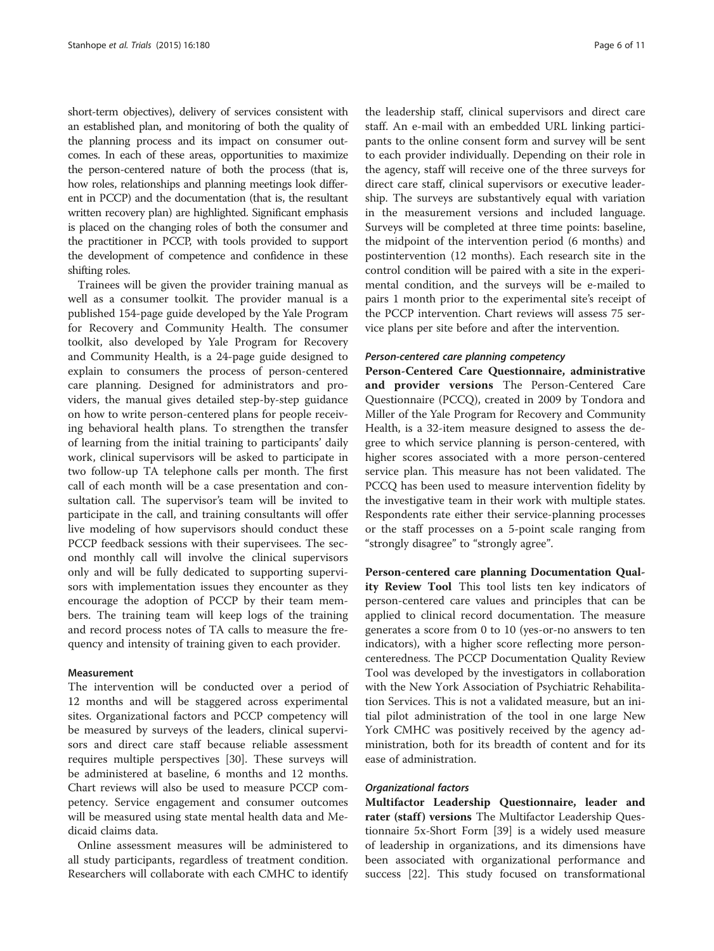short-term objectives), delivery of services consistent with an established plan, and monitoring of both the quality of the planning process and its impact on consumer outcomes. In each of these areas, opportunities to maximize the person-centered nature of both the process (that is, how roles, relationships and planning meetings look different in PCCP) and the documentation (that is, the resultant written recovery plan) are highlighted. Significant emphasis is placed on the changing roles of both the consumer and the practitioner in PCCP, with tools provided to support the development of competence and confidence in these shifting roles.

Trainees will be given the provider training manual as well as a consumer toolkit. The provider manual is a published 154-page guide developed by the Yale Program for Recovery and Community Health. The consumer toolkit, also developed by Yale Program for Recovery and Community Health, is a 24-page guide designed to explain to consumers the process of person-centered care planning. Designed for administrators and providers, the manual gives detailed step-by-step guidance on how to write person-centered plans for people receiving behavioral health plans. To strengthen the transfer of learning from the initial training to participants' daily work, clinical supervisors will be asked to participate in two follow-up TA telephone calls per month. The first call of each month will be a case presentation and consultation call. The supervisor's team will be invited to participate in the call, and training consultants will offer live modeling of how supervisors should conduct these PCCP feedback sessions with their supervisees. The second monthly call will involve the clinical supervisors only and will be fully dedicated to supporting supervisors with implementation issues they encounter as they encourage the adoption of PCCP by their team members. The training team will keep logs of the training and record process notes of TA calls to measure the frequency and intensity of training given to each provider.

# Measurement

The intervention will be conducted over a period of 12 months and will be staggered across experimental sites. Organizational factors and PCCP competency will be measured by surveys of the leaders, clinical supervisors and direct care staff because reliable assessment requires multiple perspectives [\[30](#page-10-0)]. These surveys will be administered at baseline, 6 months and 12 months. Chart reviews will also be used to measure PCCP competency. Service engagement and consumer outcomes will be measured using state mental health data and Medicaid claims data.

Online assessment measures will be administered to all study participants, regardless of treatment condition. Researchers will collaborate with each CMHC to identify

the leadership staff, clinical supervisors and direct care staff. An e-mail with an embedded URL linking participants to the online consent form and survey will be sent to each provider individually. Depending on their role in the agency, staff will receive one of the three surveys for direct care staff, clinical supervisors or executive leadership. The surveys are substantively equal with variation in the measurement versions and included language. Surveys will be completed at three time points: baseline, the midpoint of the intervention period (6 months) and postintervention (12 months). Each research site in the control condition will be paired with a site in the experimental condition, and the surveys will be e-mailed to pairs 1 month prior to the experimental site's receipt of the PCCP intervention. Chart reviews will assess 75 service plans per site before and after the intervention.

# Person-centered care planning competency

Person-Centered Care Questionnaire, administrative and provider versions The Person-Centered Care Questionnaire (PCCQ), created in 2009 by Tondora and Miller of the Yale Program for Recovery and Community Health, is a 32-item measure designed to assess the degree to which service planning is person-centered, with higher scores associated with a more person-centered service plan. This measure has not been validated. The PCCQ has been used to measure intervention fidelity by the investigative team in their work with multiple states. Respondents rate either their service-planning processes or the staff processes on a 5-point scale ranging from "strongly disagree" to "strongly agree".

Person-centered care planning Documentation Quality Review Tool This tool lists ten key indicators of person-centered care values and principles that can be applied to clinical record documentation. The measure generates a score from 0 to 10 (yes-or-no answers to ten indicators), with a higher score reflecting more personcenteredness. The PCCP Documentation Quality Review Tool was developed by the investigators in collaboration with the New York Association of Psychiatric Rehabilitation Services. This is not a validated measure, but an initial pilot administration of the tool in one large New York CMHC was positively received by the agency administration, both for its breadth of content and for its ease of administration.

#### Organizational factors

Multifactor Leadership Questionnaire, leader and rater (staff) versions The Multifactor Leadership Questionnaire 5x-Short Form [[39\]](#page-10-0) is a widely used measure of leadership in organizations, and its dimensions have been associated with organizational performance and success [[22\]](#page-10-0). This study focused on transformational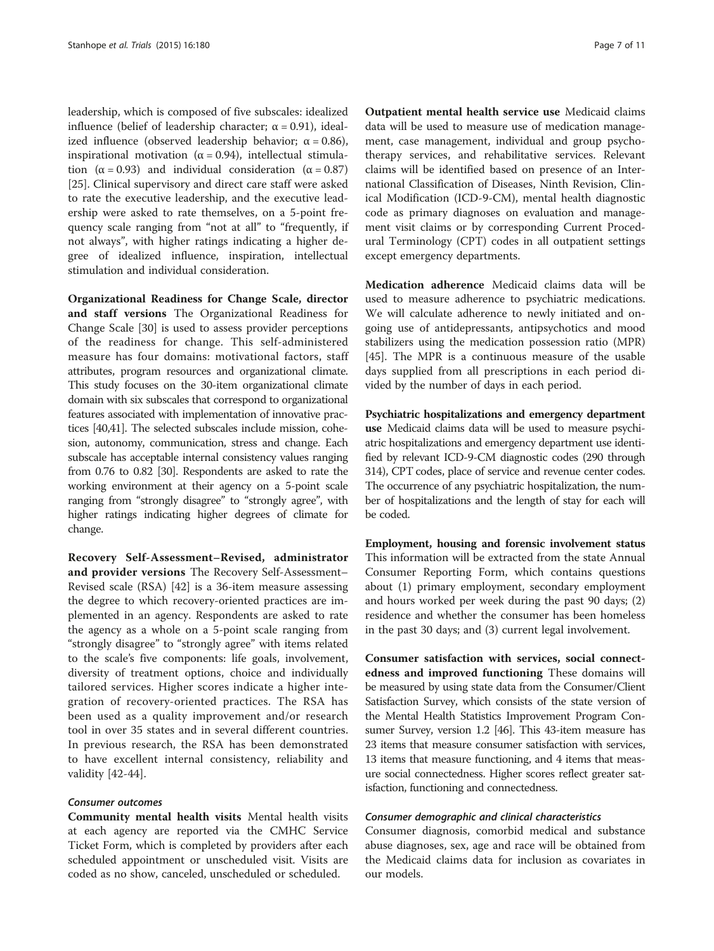leadership, which is composed of five subscales: idealized influence (belief of leadership character;  $\alpha = 0.91$ ), idealized influence (observed leadership behavior;  $\alpha = 0.86$ ), inspirational motivation ( $α = 0.94$ ), intellectual stimulation ( $\alpha = 0.93$ ) and individual consideration ( $\alpha = 0.87$ ) [[25\]](#page-10-0). Clinical supervisory and direct care staff were asked to rate the executive leadership, and the executive leadership were asked to rate themselves, on a 5-point frequency scale ranging from "not at all" to "frequently, if not always", with higher ratings indicating a higher degree of idealized influence, inspiration, intellectual stimulation and individual consideration.

Organizational Readiness for Change Scale, director and staff versions The Organizational Readiness for Change Scale [\[30](#page-10-0)] is used to assess provider perceptions of the readiness for change. This self-administered measure has four domains: motivational factors, staff attributes, program resources and organizational climate. This study focuses on the 30-item organizational climate domain with six subscales that correspond to organizational features associated with implementation of innovative practices [\[40,41](#page-10-0)]. The selected subscales include mission, cohesion, autonomy, communication, stress and change. Each subscale has acceptable internal consistency values ranging from 0.76 to 0.82 [\[30\]](#page-10-0). Respondents are asked to rate the working environment at their agency on a 5-point scale ranging from "strongly disagree" to "strongly agree", with higher ratings indicating higher degrees of climate for change.

Recovery Self-Assessment–Revised, administrator and provider versions The Recovery Self-Assessment– Revised scale (RSA) [[42\]](#page-10-0) is a 36-item measure assessing the degree to which recovery-oriented practices are implemented in an agency. Respondents are asked to rate the agency as a whole on a 5-point scale ranging from "strongly disagree" to "strongly agree" with items related to the scale's five components: life goals, involvement, diversity of treatment options, choice and individually tailored services. Higher scores indicate a higher integration of recovery-oriented practices. The RSA has been used as a quality improvement and/or research tool in over 35 states and in several different countries. In previous research, the RSA has been demonstrated to have excellent internal consistency, reliability and validity [[42-44\]](#page-10-0).

# Consumer outcomes

Community mental health visits Mental health visits at each agency are reported via the CMHC Service Ticket Form, which is completed by providers after each scheduled appointment or unscheduled visit. Visits are coded as no show, canceled, unscheduled or scheduled.

Outpatient mental health service use Medicaid claims data will be used to measure use of medication management, case management, individual and group psychotherapy services, and rehabilitative services. Relevant claims will be identified based on presence of an International Classification of Diseases, Ninth Revision, Clinical Modification (ICD-9-CM), mental health diagnostic code as primary diagnoses on evaluation and management visit claims or by corresponding Current Procedural Terminology (CPT) codes in all outpatient settings except emergency departments.

Medication adherence Medicaid claims data will be used to measure adherence to psychiatric medications. We will calculate adherence to newly initiated and ongoing use of antidepressants, antipsychotics and mood stabilizers using the medication possession ratio (MPR) [[45\]](#page-10-0). The MPR is a continuous measure of the usable days supplied from all prescriptions in each period divided by the number of days in each period.

Psychiatric hospitalizations and emergency department use Medicaid claims data will be used to measure psychiatric hospitalizations and emergency department use identified by relevant ICD-9-CM diagnostic codes (290 through 314), CPT codes, place of service and revenue center codes. The occurrence of any psychiatric hospitalization, the number of hospitalizations and the length of stay for each will be coded.

Employment, housing and forensic involvement status This information will be extracted from the state Annual Consumer Reporting Form, which contains questions about (1) primary employment, secondary employment and hours worked per week during the past 90 days; (2) residence and whether the consumer has been homeless in the past 30 days; and (3) current legal involvement.

Consumer satisfaction with services, social connectedness and improved functioning These domains will be measured by using state data from the Consumer/Client Satisfaction Survey, which consists of the state version of the Mental Health Statistics Improvement Program Consumer Survey, version 1.2 [\[46\]](#page-10-0). This 43-item measure has 23 items that measure consumer satisfaction with services, 13 items that measure functioning, and 4 items that measure social connectedness. Higher scores reflect greater satisfaction, functioning and connectedness.

# Consumer demographic and clinical characteristics

Consumer diagnosis, comorbid medical and substance abuse diagnoses, sex, age and race will be obtained from the Medicaid claims data for inclusion as covariates in our models.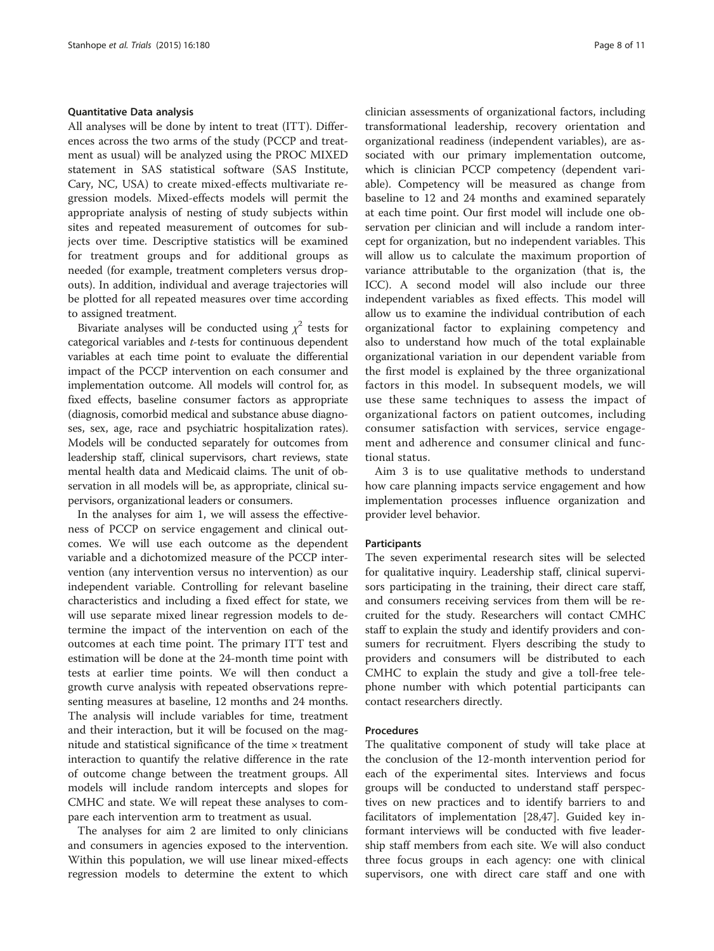#### Quantitative Data analysis

All analyses will be done by intent to treat (ITT). Differences across the two arms of the study (PCCP and treatment as usual) will be analyzed using the PROC MIXED statement in SAS statistical software (SAS Institute, Cary, NC, USA) to create mixed-effects multivariate regression models. Mixed-effects models will permit the appropriate analysis of nesting of study subjects within sites and repeated measurement of outcomes for subjects over time. Descriptive statistics will be examined for treatment groups and for additional groups as needed (for example, treatment completers versus dropouts). In addition, individual and average trajectories will be plotted for all repeated measures over time according to assigned treatment.

Bivariate analyses will be conducted using  $\chi^2$  tests for categorical variables and t-tests for continuous dependent variables at each time point to evaluate the differential impact of the PCCP intervention on each consumer and implementation outcome. All models will control for, as fixed effects, baseline consumer factors as appropriate (diagnosis, comorbid medical and substance abuse diagnoses, sex, age, race and psychiatric hospitalization rates). Models will be conducted separately for outcomes from leadership staff, clinical supervisors, chart reviews, state mental health data and Medicaid claims. The unit of observation in all models will be, as appropriate, clinical supervisors, organizational leaders or consumers.

In the analyses for aim 1, we will assess the effectiveness of PCCP on service engagement and clinical outcomes. We will use each outcome as the dependent variable and a dichotomized measure of the PCCP intervention (any intervention versus no intervention) as our independent variable. Controlling for relevant baseline characteristics and including a fixed effect for state, we will use separate mixed linear regression models to determine the impact of the intervention on each of the outcomes at each time point. The primary ITT test and estimation will be done at the 24-month time point with tests at earlier time points. We will then conduct a growth curve analysis with repeated observations representing measures at baseline, 12 months and 24 months. The analysis will include variables for time, treatment and their interaction, but it will be focused on the magnitude and statistical significance of the time  $\times$  treatment interaction to quantify the relative difference in the rate of outcome change between the treatment groups. All models will include random intercepts and slopes for CMHC and state. We will repeat these analyses to compare each intervention arm to treatment as usual.

The analyses for aim 2 are limited to only clinicians and consumers in agencies exposed to the intervention. Within this population, we will use linear mixed-effects regression models to determine the extent to which

clinician assessments of organizational factors, including transformational leadership, recovery orientation and organizational readiness (independent variables), are associated with our primary implementation outcome, which is clinician PCCP competency (dependent variable). Competency will be measured as change from baseline to 12 and 24 months and examined separately at each time point. Our first model will include one observation per clinician and will include a random intercept for organization, but no independent variables. This will allow us to calculate the maximum proportion of variance attributable to the organization (that is, the ICC). A second model will also include our three independent variables as fixed effects. This model will allow us to examine the individual contribution of each organizational factor to explaining competency and also to understand how much of the total explainable organizational variation in our dependent variable from the first model is explained by the three organizational factors in this model. In subsequent models, we will use these same techniques to assess the impact of organizational factors on patient outcomes, including consumer satisfaction with services, service engagement and adherence and consumer clinical and functional status.

Aim 3 is to use qualitative methods to understand how care planning impacts service engagement and how implementation processes influence organization and provider level behavior.

#### **Participants**

The seven experimental research sites will be selected for qualitative inquiry. Leadership staff, clinical supervisors participating in the training, their direct care staff, and consumers receiving services from them will be recruited for the study. Researchers will contact CMHC staff to explain the study and identify providers and consumers for recruitment. Flyers describing the study to providers and consumers will be distributed to each CMHC to explain the study and give a toll-free telephone number with which potential participants can contact researchers directly.

# Procedures

The qualitative component of study will take place at the conclusion of the 12-month intervention period for each of the experimental sites. Interviews and focus groups will be conducted to understand staff perspectives on new practices and to identify barriers to and facilitators of implementation [[28,47\]](#page-10-0). Guided key informant interviews will be conducted with five leadership staff members from each site. We will also conduct three focus groups in each agency: one with clinical supervisors, one with direct care staff and one with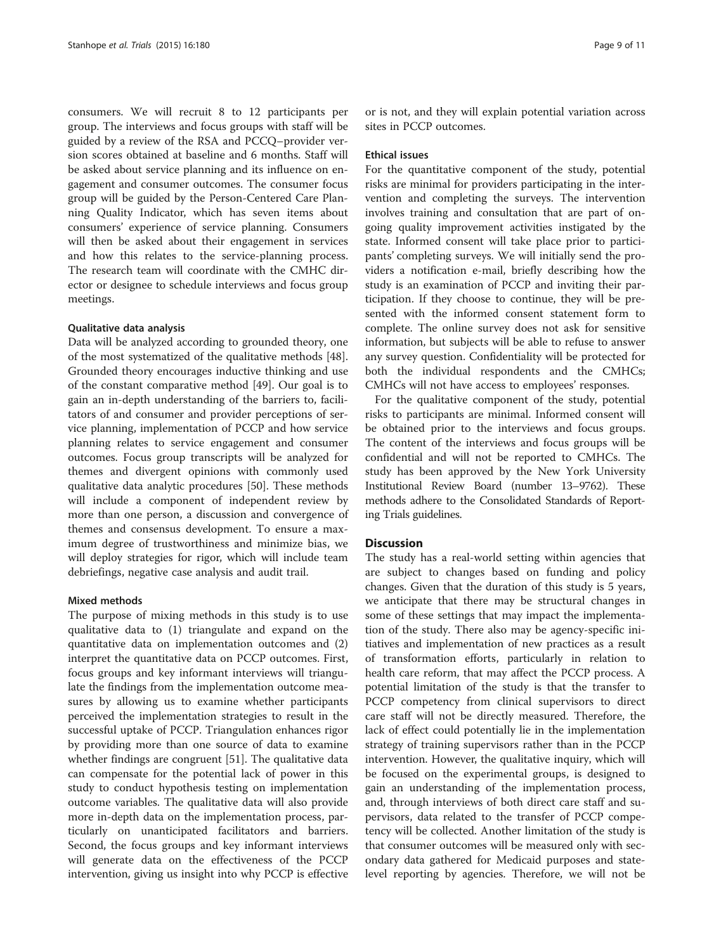consumers. We will recruit 8 to 12 participants per group. The interviews and focus groups with staff will be guided by a review of the RSA and PCCQ–provider version scores obtained at baseline and 6 months. Staff will be asked about service planning and its influence on engagement and consumer outcomes. The consumer focus group will be guided by the Person-Centered Care Planning Quality Indicator, which has seven items about consumers' experience of service planning. Consumers will then be asked about their engagement in services and how this relates to the service-planning process. The research team will coordinate with the CMHC director or designee to schedule interviews and focus group meetings.

#### Qualitative data analysis

Data will be analyzed according to grounded theory, one of the most systematized of the qualitative methods [\[48](#page-10-0)]. Grounded theory encourages inductive thinking and use of the constant comparative method [[49\]](#page-10-0). Our goal is to gain an in-depth understanding of the barriers to, facilitators of and consumer and provider perceptions of service planning, implementation of PCCP and how service planning relates to service engagement and consumer outcomes. Focus group transcripts will be analyzed for themes and divergent opinions with commonly used qualitative data analytic procedures [\[50\]](#page-10-0). These methods will include a component of independent review by more than one person, a discussion and convergence of themes and consensus development. To ensure a maximum degree of trustworthiness and minimize bias, we will deploy strategies for rigor, which will include team debriefings, negative case analysis and audit trail.

#### Mixed methods

The purpose of mixing methods in this study is to use qualitative data to (1) triangulate and expand on the quantitative data on implementation outcomes and (2) interpret the quantitative data on PCCP outcomes. First, focus groups and key informant interviews will triangulate the findings from the implementation outcome measures by allowing us to examine whether participants perceived the implementation strategies to result in the successful uptake of PCCP. Triangulation enhances rigor by providing more than one source of data to examine whether findings are congruent [\[51](#page-10-0)]. The qualitative data can compensate for the potential lack of power in this study to conduct hypothesis testing on implementation outcome variables. The qualitative data will also provide more in-depth data on the implementation process, particularly on unanticipated facilitators and barriers. Second, the focus groups and key informant interviews will generate data on the effectiveness of the PCCP intervention, giving us insight into why PCCP is effective or is not, and they will explain potential variation across sites in PCCP outcomes.

# Ethical issues

For the quantitative component of the study, potential risks are minimal for providers participating in the intervention and completing the surveys. The intervention involves training and consultation that are part of ongoing quality improvement activities instigated by the state. Informed consent will take place prior to participants' completing surveys. We will initially send the providers a notification e-mail, briefly describing how the study is an examination of PCCP and inviting their participation. If they choose to continue, they will be presented with the informed consent statement form to complete. The online survey does not ask for sensitive information, but subjects will be able to refuse to answer any survey question. Confidentiality will be protected for both the individual respondents and the CMHCs; CMHCs will not have access to employees' responses.

For the qualitative component of the study, potential risks to participants are minimal. Informed consent will be obtained prior to the interviews and focus groups. The content of the interviews and focus groups will be confidential and will not be reported to CMHCs. The study has been approved by the New York University Institutional Review Board (number 13–9762). These methods adhere to the Consolidated Standards of Reporting Trials guidelines.

# **Discussion**

The study has a real-world setting within agencies that are subject to changes based on funding and policy changes. Given that the duration of this study is 5 years, we anticipate that there may be structural changes in some of these settings that may impact the implementation of the study. There also may be agency-specific initiatives and implementation of new practices as a result of transformation efforts, particularly in relation to health care reform, that may affect the PCCP process. A potential limitation of the study is that the transfer to PCCP competency from clinical supervisors to direct care staff will not be directly measured. Therefore, the lack of effect could potentially lie in the implementation strategy of training supervisors rather than in the PCCP intervention. However, the qualitative inquiry, which will be focused on the experimental groups, is designed to gain an understanding of the implementation process, and, through interviews of both direct care staff and supervisors, data related to the transfer of PCCP competency will be collected. Another limitation of the study is that consumer outcomes will be measured only with secondary data gathered for Medicaid purposes and statelevel reporting by agencies. Therefore, we will not be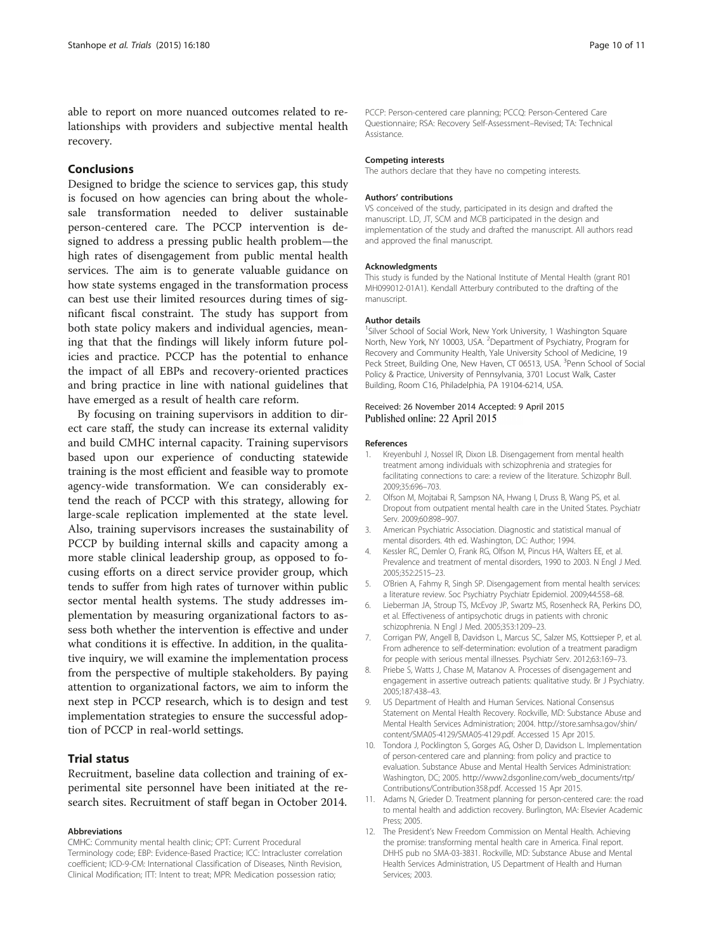<span id="page-9-0"></span>able to report on more nuanced outcomes related to relationships with providers and subjective mental health recovery.

# Conclusions

Designed to bridge the science to services gap, this study is focused on how agencies can bring about the wholesale transformation needed to deliver sustainable person-centered care. The PCCP intervention is designed to address a pressing public health problem—the high rates of disengagement from public mental health services. The aim is to generate valuable guidance on how state systems engaged in the transformation process can best use their limited resources during times of significant fiscal constraint. The study has support from both state policy makers and individual agencies, meaning that that the findings will likely inform future policies and practice. PCCP has the potential to enhance the impact of all EBPs and recovery-oriented practices and bring practice in line with national guidelines that have emerged as a result of health care reform.

By focusing on training supervisors in addition to direct care staff, the study can increase its external validity and build CMHC internal capacity. Training supervisors based upon our experience of conducting statewide training is the most efficient and feasible way to promote agency-wide transformation. We can considerably extend the reach of PCCP with this strategy, allowing for large-scale replication implemented at the state level. Also, training supervisors increases the sustainability of PCCP by building internal skills and capacity among a more stable clinical leadership group, as opposed to focusing efforts on a direct service provider group, which tends to suffer from high rates of turnover within public sector mental health systems. The study addresses implementation by measuring organizational factors to assess both whether the intervention is effective and under what conditions it is effective. In addition, in the qualitative inquiry, we will examine the implementation process from the perspective of multiple stakeholders. By paying attention to organizational factors, we aim to inform the next step in PCCP research, which is to design and test implementation strategies to ensure the successful adoption of PCCP in real-world settings.

#### Trial status

Recruitment, baseline data collection and training of experimental site personnel have been initiated at the research sites. Recruitment of staff began in October 2014.

#### Abbreviations

CMHC: Community mental health clinic; CPT: Current Procedural Terminology code; EBP: Evidence-Based Practice; ICC: Intracluster correlation coefficient; ICD-9-CM: International Classification of Diseases, Ninth Revision, Clinical Modification; ITT: Intent to treat; MPR: Medication possession ratio;

PCCP: Person-centered care planning; PCCQ: Person-Centered Care Questionnaire; RSA: Recovery Self-Assessment–Revised; TA: Technical Assistance.

#### Competing interests

The authors declare that they have no competing interests.

#### Authors' contributions

VS conceived of the study, participated in its design and drafted the manuscript. LD, JT, SCM and MCB participated in the design and implementation of the study and drafted the manuscript. All authors read and approved the final manuscript.

#### Acknowledgments

This study is funded by the National Institute of Mental Health (grant R01 MH099012-01A1). Kendall Atterbury contributed to the drafting of the manuscript.

#### Author details

<sup>1</sup>Silver School of Social Work, New York University, 1 Washington Square North, New York, NY 10003, USA. <sup>2</sup>Department of Psychiatry, Program for Recovery and Community Health, Yale University School of Medicine, 19 Peck Street, Building One, New Haven, CT 06513, USA. <sup>3</sup>Penn School of Social Policy & Practice, University of Pennsylvania, 3701 Locust Walk, Caster Building, Room C16, Philadelphia, PA 19104-6214, USA.

#### Received: 26 November 2014 Accepted: 9 April 2015 Published online: 22 April 2015

#### References

- 1. Kreyenbuhl J, Nossel IR, Dixon LB. Disengagement from mental health treatment among individuals with schizophrenia and strategies for facilitating connections to care: a review of the literature. Schizophr Bull. 2009;35:696–703.
- 2. Olfson M, Mojtabai R, Sampson NA, Hwang I, Druss B, Wang PS, et al. Dropout from outpatient mental health care in the United States. Psychiatr Serv. 2009;60:898–907.
- 3. American Psychiatric Association. Diagnostic and statistical manual of mental disorders. 4th ed. Washington, DC: Author; 1994.
- 4. Kessler RC, Demler O, Frank RG, Olfson M, Pincus HA, Walters EE, et al. Prevalence and treatment of mental disorders, 1990 to 2003. N Engl J Med. 2005;352:2515–23.
- 5. O'Brien A, Fahmy R, Singh SP. Disengagement from mental health services: a literature review. Soc Psychiatry Psychiatr Epidemiol. 2009;44:558–68.
- 6. Lieberman JA, Stroup TS, McEvoy JP, Swartz MS, Rosenheck RA, Perkins DO, et al. Effectiveness of antipsychotic drugs in patients with chronic schizophrenia. N Engl J Med. 2005;353:1209–23.
- 7. Corrigan PW, Angell B, Davidson L, Marcus SC, Salzer MS, Kottsieper P, et al. From adherence to self-determination: evolution of a treatment paradigm for people with serious mental illnesses. Psychiatr Serv. 2012;63:169–73.
- 8. Priebe S, Watts J, Chase M, Matanov A. Processes of disengagement and engagement in assertive outreach patients: qualitative study. Br J Psychiatry. 2005;187:438–43.
- 9. US Department of Health and Human Services. National Consensus Statement on Mental Health Recovery. Rockville, MD: Substance Abuse and Mental Health Services Administration; 2004. [http://store.samhsa.gov/shin/](http://store.samhsa.gov/shin/content/SMA05-4129/SMA05-4129.pdf) [content/SMA05-4129/SMA05-4129.pdf](http://store.samhsa.gov/shin/content/SMA05-4129/SMA05-4129.pdf). Accessed 15 Apr 2015.
- 10. Tondora J, Pocklington S, Gorges AG, Osher D, Davidson L. Implementation of person-centered care and planning: from policy and practice to evaluation. Substance Abuse and Mental Health Services Administration: Washington, DC; 2005. [http://www2.dsgonline.com/web\\_documents/rtp/](http://www2.dsgonline.com/web_documents/rtp/Contributions/Contribution358.pdf) [Contributions/Contribution358.pdf.](http://www2.dsgonline.com/web_documents/rtp/Contributions/Contribution358.pdf) Accessed 15 Apr 2015.
- 11. Adams N, Grieder D. Treatment planning for person-centered care: the road to mental health and addiction recovery. Burlington, MA: Elsevier Academic Press; 2005.
- 12. The President's New Freedom Commission on Mental Health. Achieving the promise: transforming mental health care in America. Final report. DHHS pub no SMA-03-3831. Rockville, MD: Substance Abuse and Mental Health Services Administration, US Department of Health and Human Services; 2003.